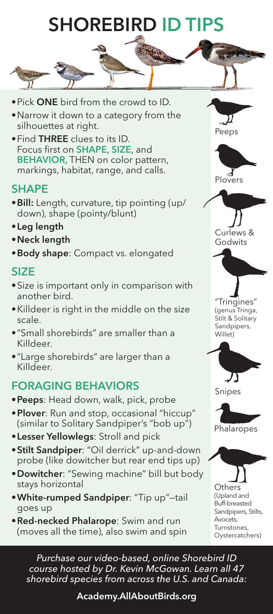## **SHOREBIRD ID**



- •Narrow it down to a category from the silhouettes at right.
- •Find THREE clues to its ID. Focus first on **SHAPE, SIZE**, and **BEHAVIOR, THEN on color pattern,** markings, habitat, range, and calls.

## **SHAPE**

- •Bill: Length, curvature, tip pointing (up/ down), shape (pointy/blunt)
- •Leg length
- •Neck length
- **•Body shape:** Compact vs. elongated

#### SIZE

- •Size is important only in comparison with another bird.
- •Killdeer is right in the middle on the size scale.
- •"Small shorebirds" are smaller than a Killdeer.
- •"Large shorebirds" are larger than a Killdeer.

## FORAGING BEHAVIORS

- Peeps: Head down, walk, pick, probe
- Plover: Run and stop, occasional "hiccup" (similar to Solitary Sandpiper's "bob up")
- **Lesser Yellowlegs:** Stroll and pick
- •Stilt Sandpiper: "Oil derrick" up-and-down probe (like dowitcher but rear end tips up)
- •Dowitcher: "Sewing machine" bill but body stays horizontal
- •White-rumped Sandpiper: "Tip up"—tail goes up
- •Red-necked Phalarope: Swim and run (moves all the time), also swim and spin







"Tringines" (genus Tringa, Stilt & Solitary Sandpipers, Willet)



Snipes



**Others** (Upland and Buff-breasted Sandpipers, Stilts, Avocets, Turnstones, Oystercatchers)

*Purchase our video-based, online Shorebird ID course hosted by Dr. Kevin McGowan. Learn all 47 shorebird species from across the U.S. and Canada:*

Academy.AllAboutBirds.org